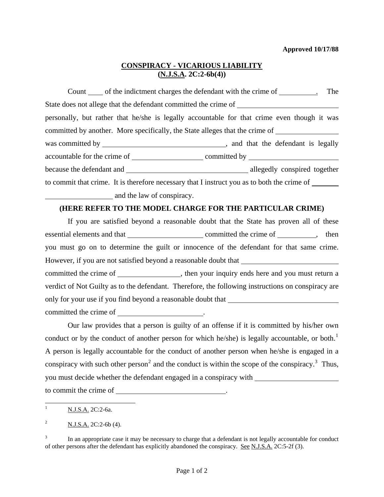## **CONSPIRACY - VICARIOUS LIABILITY (N.J.S.A. 2C:2-6b(4))**

Count of the indictment charges the defendant with the crime of \_\_\_\_\_\_\_\_\_. The State does not allege that the defendant committed the crime of personally, but rather that he/she is legally accountable for that crime even though it was committed by another. More specifically, the State alleges that the crime of was committed by , and that the defendant is legally accountable for the crime of committed by because the defendant and **allegedly** conspired together to commit that crime. It is therefore necessary that I instruct you as to both the crime of and the law of conspiracy.

## **(HERE REFER TO THE MODEL CHARGE FOR THE PARTICULAR CRIME)**

 If you are satisfied beyond a reasonable doubt that the State has proven all of these essential elements and that committed the crime of , then you must go on to determine the guilt or innocence of the defendant for that same crime. However, if you are not satisfied beyond a reasonable doubt that \_\_\_\_\_\_\_\_\_\_\_\_\_\_\_\_ committed the crime of \_\_\_\_\_\_\_\_\_\_\_\_\_\_\_, then your inquiry ends here and you must return a verdict of Not Guilty as to the defendant. Therefore, the following instructions on conspiracy are only for your use if you find beyond a reasonable doubt that committed the crime of

 Our law provides that a person is guilty of an offense if it is committed by his/her own conduct or by the conduct of another person for which he/she) is legally accountable, or both.<sup>[1](#page-0-0)</sup> A person is legally accountable for the conduct of another person when he/she is engaged in a conspiracy with such other person<sup>[2](#page-0-1)</sup> and the conduct is within the scope of the conspiracy.<sup>[3](#page-0-2)</sup> Thus, you must decide whether the defendant engaged in a conspiracy with

to commit the crime of

<span id="page-0-0"></span> $\mathbf{1}$ <sup>1</sup> N.J.S.A. 2C:2-6a.

<span id="page-0-1"></span><sup>&</sup>lt;sup>2</sup> N.J.S.A. 2C:2-6b (4).

<span id="page-0-3"></span><span id="page-0-2"></span><sup>3</sup> In an appropriate case it may be necessary to charge that a defendant is not legally accountable for conduct of other persons after the defendant has explicitly abandoned the conspiracy. See N.J.S.A. 2C:5-2f (3).